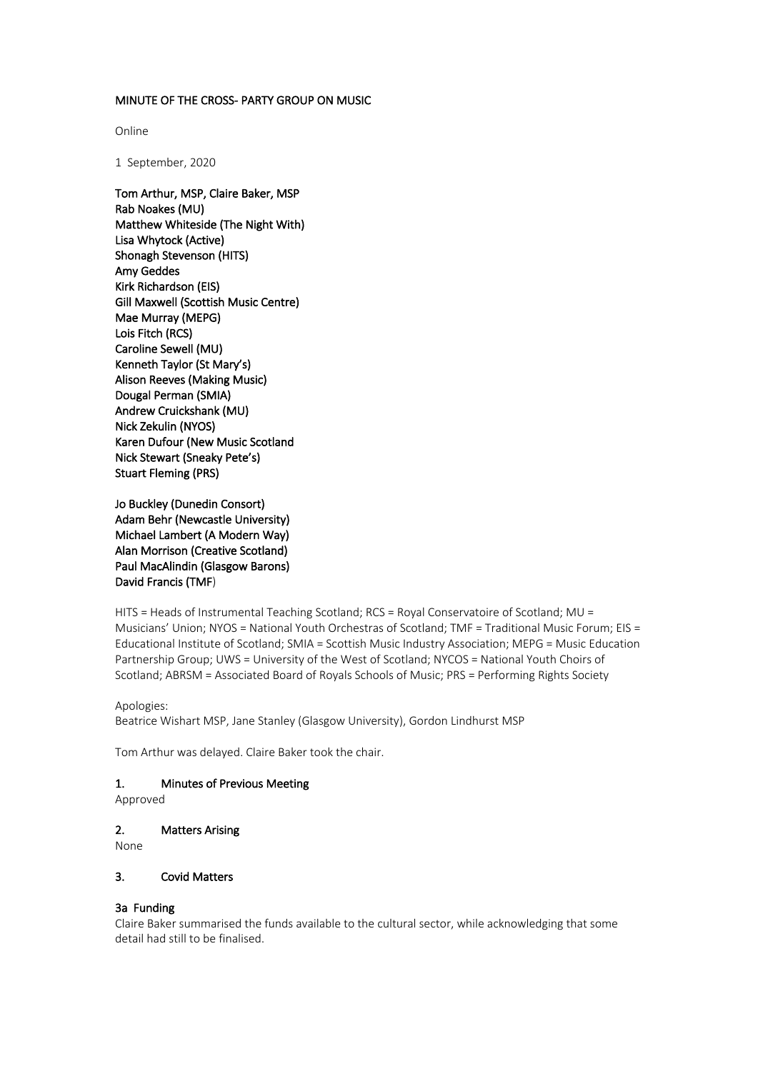### MINUTE OF THE CROSS- PARTY GROUP ON MUSIC

Online

1 September, 2020

Tom Arthur, MSP, Claire Baker, MSP Rab Noakes (MU) Matthew Whiteside (The Night With) Lisa Whytock (Active) Shonagh Stevenson (HITS) Amy Geddes Kirk Richardson (EIS) Gill Maxwell (Scottish Music Centre) Mae Murray (MEPG) Lois Fitch (RCS) Caroline Sewell (MU) Kenneth Taylor (St Mary's) Alison Reeves (Making Music) Dougal Perman (SMIA) Andrew Cruickshank (MU) Nick Zekulin (NYOS) Karen Dufour (New Music Scotland Nick Stewart (Sneaky Pete's) Stuart Fleming (PRS)

Jo Buckley (Dunedin Consort) Adam Behr (Newcastle University) Michael Lambert (A Modern Way) Alan Morrison (Creative Scotland) Paul MacAlindin (Glasgow Barons) David Francis (TMF)

HITS = Heads of Instrumental Teaching Scotland; RCS = Royal Conservatoire of Scotland; MU = Musicians' Union; NYOS = National Youth Orchestras of Scotland; TMF = Traditional Music Forum; EIS = Educational Institute of Scotland; SMIA = Scottish Music Industry Association; MEPG = Music Education Partnership Group; UWS = University of the West of Scotland; NYCOS = National Youth Choirs of Scotland; ABRSM = Associated Board of Royals Schools of Music; PRS = Performing Rights Society

Apologies:

Beatrice Wishart MSP, Jane Stanley (Glasgow University), Gordon Lindhurst MSP

Tom Arthur was delayed. Claire Baker took the chair.

#### 1. Minutes of Previous Meeting

Approved

2. Matters Arising

None

# 3. Covid Matters

## 3a Funding

Claire Baker summarised the funds available to the cultural sector, while acknowledging that some detail had still to be finalised.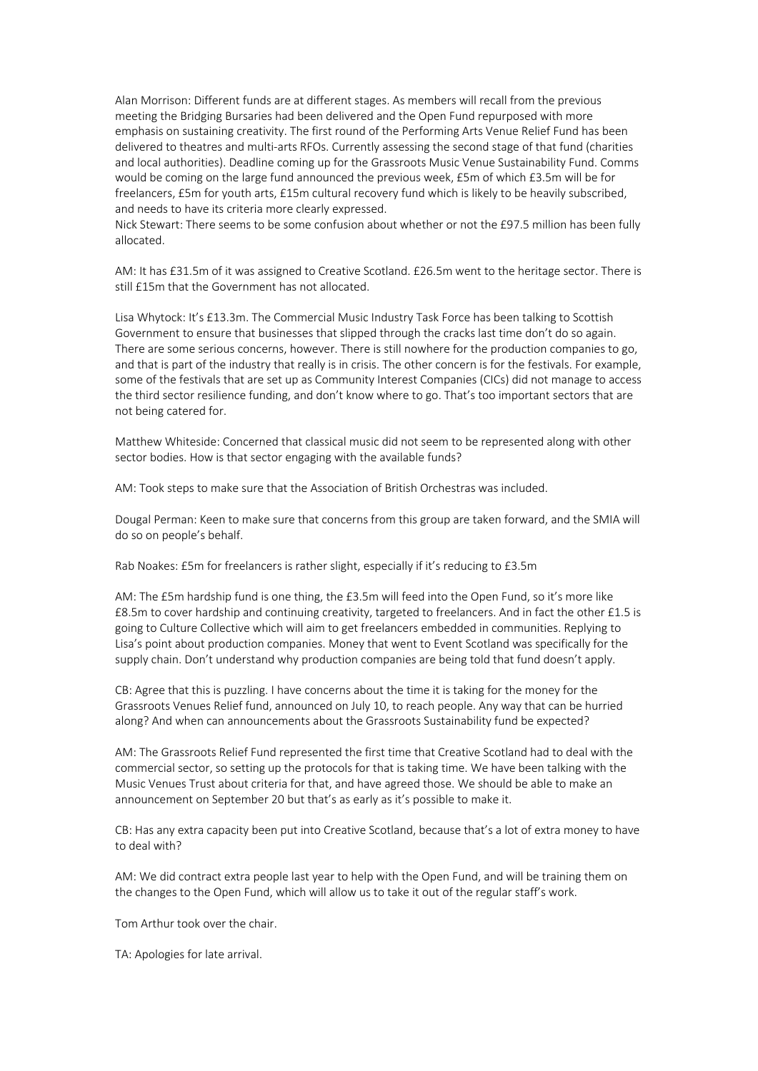Alan Morrison: Different funds are at different stages. As members will recall from the previous meeting the Bridging Bursaries had been delivered and the Open Fund repurposed with more emphasis on sustaining creativity. The first round of the Performing Arts Venue Relief Fund has been delivered to theatres and multi-arts RFOs. Currently assessing the second stage of that fund (charities and local authorities). Deadline coming up for the Grassroots Music Venue Sustainability Fund. Comms would be coming on the large fund announced the previous week, £5m of which £3.5m will be for freelancers, £5m for youth arts, £15m cultural recovery fund which is likely to be heavily subscribed, and needs to have its criteria more clearly expressed.

Nick Stewart: There seems to be some confusion about whether or not the £97.5 million has been fully allocated.

AM: It has £31.5m of it was assigned to Creative Scotland. £26.5m went to the heritage sector. There is still £15m that the Government has not allocated.

Lisa Whytock: It's £13.3m. The Commercial Music Industry Task Force has been talking to Scottish Government to ensure that businesses that slipped through the cracks last time don't do so again. There are some serious concerns, however. There is still nowhere for the production companies to go, and that is part of the industry that really is in crisis. The other concern is for the festivals. For example, some of the festivals that are set up as Community Interest Companies (CICs) did not manage to access the third sector resilience funding, and don't know where to go. That's too important sectors that are not being catered for.

Matthew Whiteside: Concerned that classical music did not seem to be represented along with other sector bodies. How is that sector engaging with the available funds?

AM: Took steps to make sure that the Association of British Orchestras was included.

Dougal Perman: Keen to make sure that concerns from this group are taken forward, and the SMIA will do so on people's behalf.

Rab Noakes: £5m for freelancers is rather slight, especially if it's reducing to £3.5m

AM: The £5m hardship fund is one thing, the £3.5m will feed into the Open Fund, so it's more like £8.5m to cover hardship and continuing creativity, targeted to freelancers. And in fact the other £1.5 is going to Culture Collective which will aim to get freelancers embedded in communities. Replying to Lisa's point about production companies. Money that went to Event Scotland was specifically for the supply chain. Don't understand why production companies are being told that fund doesn't apply.

CB: Agree that this is puzzling. I have concerns about the time it is taking for the money for the Grassroots Venues Relief fund, announced on July 10, to reach people. Any way that can be hurried along? And when can announcements about the Grassroots Sustainability fund be expected?

AM: The Grassroots Relief Fund represented the first time that Creative Scotland had to deal with the commercial sector, so setting up the protocols for that is taking time. We have been talking with the Music Venues Trust about criteria for that, and have agreed those. We should be able to make an announcement on September 20 but that's as early as it's possible to make it.

CB: Has any extra capacity been put into Creative Scotland, because that's a lot of extra money to have to deal with?

AM: We did contract extra people last year to help with the Open Fund, and will be training them on the changes to the Open Fund, which will allow us to take it out of the regular staff's work.

Tom Arthur took over the chair.

TA: Apologies for late arrival.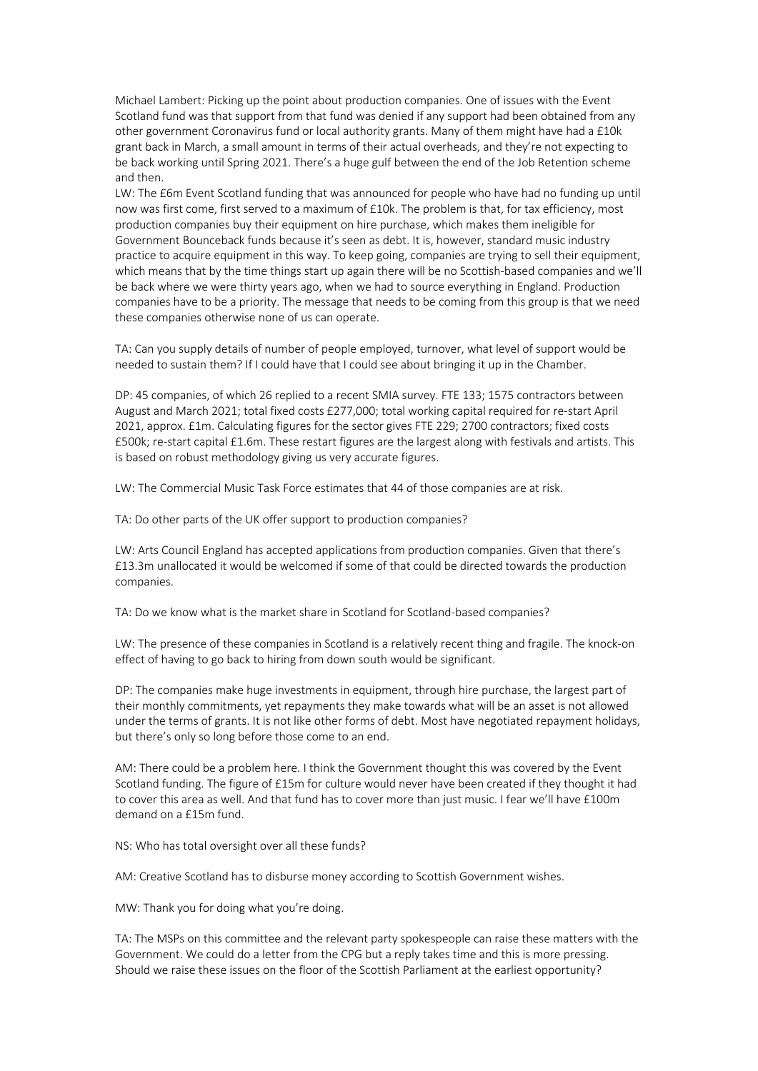Michael Lambert: Picking up the point about production companies. One of issues with the Event Scotland fund was that support from that fund was denied if any support had been obtained from any other government Coronavirus fund or local authority grants. Many of them might have had a £10k grant back in March, a small amount in terms of their actual overheads, and they're not expecting to be back working until Spring 2021. There's a huge gulf between the end of the Job Retention scheme and then.

LW: The £6m Event Scotland funding that was announced for people who have had no funding up until now was first come, first served to a maximum of £10k. The problem is that, for tax efficiency, most production companies buy their equipment on hire purchase, which makes them ineligible for Government Bounceback funds because it's seen as debt. It is, however, standard music industry practice to acquire equipment in this way. To keep going, companies are trying to sell their equipment, which means that by the time things start up again there will be no Scottish-based companies and we'll be back where we were thirty years ago, when we had to source everything in England. Production companies have to be a priority. The message that needs to be coming from this group is that we need these companies otherwise none of us can operate.

TA: Can you supply details of number of people employed, turnover, what level of support would be needed to sustain them? If I could have that I could see about bringing it up in the Chamber.

DP: 45 companies, of which 26 replied to a recent SMIA survey. FTE 133; 1575 contractors between August and March 2021; total fixed costs £277,000; total working capital required for re-start April 2021, approx. £1m. Calculating figures for the sector gives FTE 229; 2700 contractors; fixed costs £500k; re-start capital £1.6m. These restart figures are the largest along with festivals and artists. This is based on robust methodology giving us very accurate figures.

LW: The Commercial Music Task Force estimates that 44 of those companies are at risk.

TA: Do other parts of the UK offer support to production companies?

LW: Arts Council England has accepted applications from production companies. Given that there's £13.3m unallocated it would be welcomed if some of that could be directed towards the production companies.

TA: Do we know what is the market share in Scotland for Scotland-based companies?

LW: The presence of these companies in Scotland is a relatively recent thing and fragile. The knock-on effect of having to go back to hiring from down south would be significant.

DP: The companies make huge investments in equipment, through hire purchase, the largest part of their monthly commitments, yet repayments they make towards what will be an asset is not allowed under the terms of grants. It is not like other forms of debt. Most have negotiated repayment holidays, but there's only so long before those come to an end.

AM: There could be a problem here. I think the Government thought this was covered by the Event Scotland funding. The figure of £15m for culture would never have been created if they thought it had to cover this area as well. And that fund has to cover more than just music. I fear we'll have £100m demand on a £15m fund.

NS: Who has total oversight over all these funds?

AM: Creative Scotland has to disburse money according to Scottish Government wishes.

MW: Thank you for doing what you're doing.

TA: The MSPs on this committee and the relevant party spokespeople can raise these matters with the Government. We could do a letter from the CPG but a reply takes time and this is more pressing. Should we raise these issues on the floor of the Scottish Parliament at the earliest opportunity?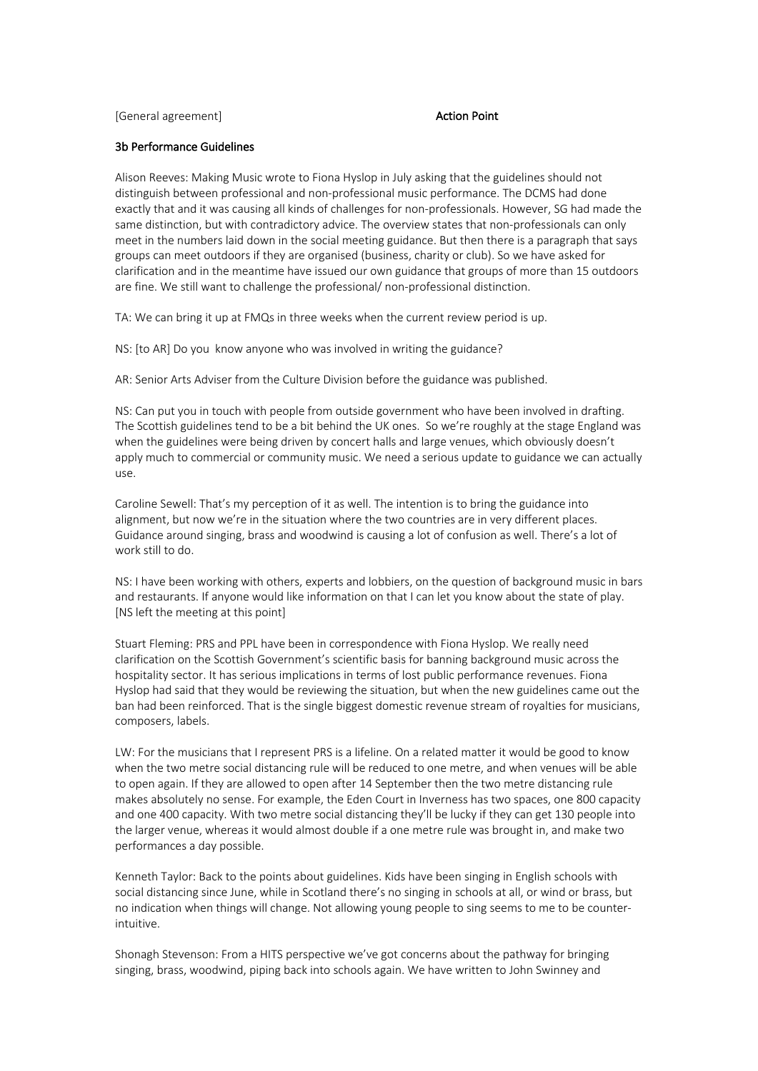[General agreement] The Contraction Point Action Point

#### 3b Performance Guidelines

Alison Reeves: Making Music wrote to Fiona Hyslop in July asking that the guidelines should not distinguish between professional and non-professional music performance. The DCMS had done exactly that and it was causing all kinds of challenges for non-professionals. However, SG had made the same distinction, but with contradictory advice. The overview states that non-professionals can only meet in the numbers laid down in the social meeting guidance. But then there is a paragraph that says groups can meet outdoors if they are organised (business, charity or club). So we have asked for clarification and in the meantime have issued our own guidance that groups of more than 15 outdoors are fine. We still want to challenge the professional/ non-professional distinction.

TA: We can bring it up at FMQs in three weeks when the current review period is up.

NS: [to AR] Do you know anyone who was involved in writing the guidance?

AR: Senior Arts Adviser from the Culture Division before the guidance was published.

NS: Can put you in touch with people from outside government who have been involved in drafting. The Scottish guidelines tend to be a bit behind the UK ones. So we're roughly at the stage England was when the guidelines were being driven by concert halls and large venues, which obviously doesn't apply much to commercial or community music. We need a serious update to guidance we can actually use.

Caroline Sewell: That's my perception of it as well. The intention is to bring the guidance into alignment, but now we're in the situation where the two countries are in very different places. Guidance around singing, brass and woodwind is causing a lot of confusion as well. There's a lot of work still to do.

NS: I have been working with others, experts and lobbiers, on the question of background music in bars and restaurants. If anyone would like information on that I can let you know about the state of play. [NS left the meeting at this point]

Stuart Fleming: PRS and PPL have been in correspondence with Fiona Hyslop. We really need clarification on the Scottish Government's scientific basis for banning background music across the hospitality sector. It has serious implications in terms of lost public performance revenues. Fiona Hyslop had said that they would be reviewing the situation, but when the new guidelines came out the ban had been reinforced. That is the single biggest domestic revenue stream of royalties for musicians, composers, labels.

LW: For the musicians that I represent PRS is a lifeline. On a related matter it would be good to know when the two metre social distancing rule will be reduced to one metre, and when venues will be able to open again. If they are allowed to open after 14 September then the two metre distancing rule makes absolutely no sense. For example, the Eden Court in Inverness has two spaces, one 800 capacity and one 400 capacity. With two metre social distancing they'll be lucky if they can get 130 people into the larger venue, whereas it would almost double if a one metre rule was brought in, and make two performances a day possible.

Kenneth Taylor: Back to the points about guidelines. Kids have been singing in English schools with social distancing since June, while in Scotland there's no singing in schools at all, or wind or brass, but no indication when things will change. Not allowing young people to sing seems to me to be counterintuitive.

Shonagh Stevenson: From a HITS perspective we've got concerns about the pathway for bringing singing, brass, woodwind, piping back into schools again. We have written to John Swinney and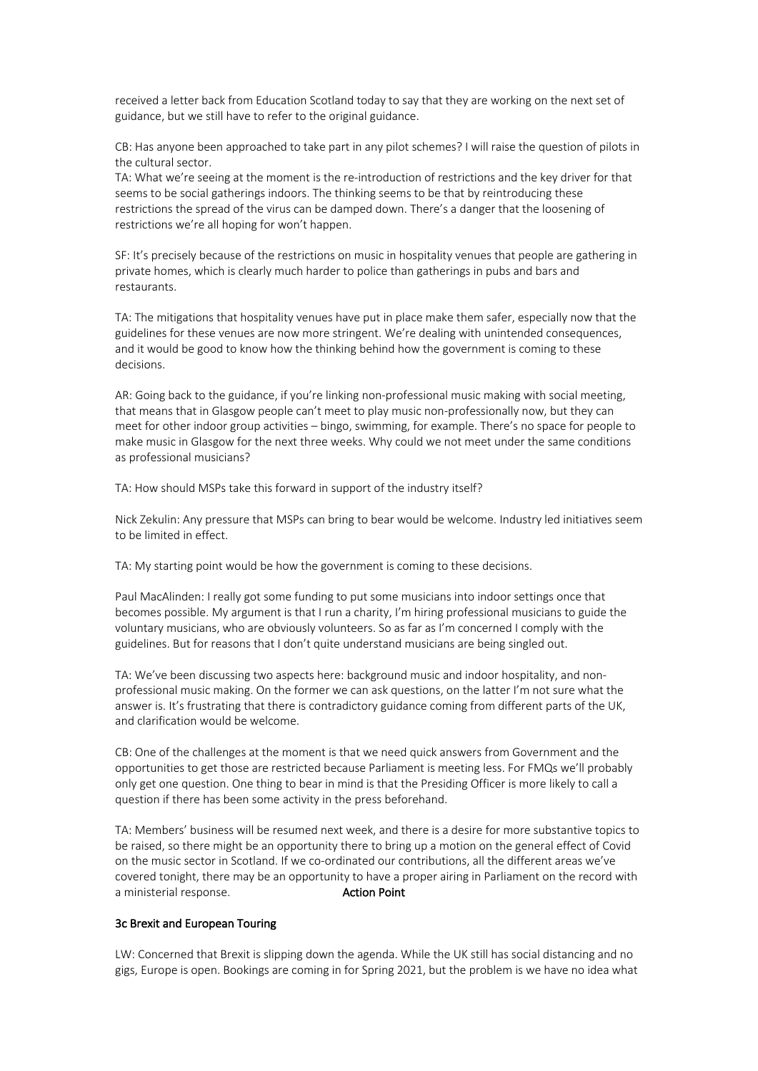received a letter back from Education Scotland today to say that they are working on the next set of guidance, but we still have to refer to the original guidance.

CB: Has anyone been approached to take part in any pilot schemes? I will raise the question of pilots in the cultural sector.

TA: What we're seeing at the moment is the re-introduction of restrictions and the key driver for that seems to be social gatherings indoors. The thinking seems to be that by reintroducing these restrictions the spread of the virus can be damped down. There's a danger that the loosening of restrictions we're all hoping for won't happen.

SF: It's precisely because of the restrictions on music in hospitality venues that people are gathering in private homes, which is clearly much harder to police than gatherings in pubs and bars and restaurants.

TA: The mitigations that hospitality venues have put in place make them safer, especially now that the guidelines for these venues are now more stringent. We're dealing with unintended consequences, and it would be good to know how the thinking behind how the government is coming to these decisions.

AR: Going back to the guidance, if you're linking non-professional music making with social meeting, that means that in Glasgow people can't meet to play music non-professionally now, but they can meet for other indoor group activities – bingo, swimming, for example. There's no space for people to make music in Glasgow for the next three weeks. Why could we not meet under the same conditions as professional musicians?

TA: How should MSPs take this forward in support of the industry itself?

Nick Zekulin: Any pressure that MSPs can bring to bear would be welcome. Industry led initiatives seem to be limited in effect.

TA: My starting point would be how the government is coming to these decisions.

Paul MacAlinden: I really got some funding to put some musicians into indoor settings once that becomes possible. My argument is that I run a charity, I'm hiring professional musicians to guide the voluntary musicians, who are obviously volunteers. So as far as I'm concerned I comply with the guidelines. But for reasons that I don't quite understand musicians are being singled out.

TA: We've been discussing two aspects here: background music and indoor hospitality, and nonprofessional music making. On the former we can ask questions, on the latter I'm not sure what the answer is. It's frustrating that there is contradictory guidance coming from different parts of the UK, and clarification would be welcome.

CB: One of the challenges at the moment is that we need quick answers from Government and the opportunities to get those are restricted because Parliament is meeting less. For FMQs we'll probably only get one question. One thing to bear in mind is that the Presiding Officer is more likely to call a question if there has been some activity in the press beforehand.

TA: Members' business will be resumed next week, and there is a desire for more substantive topics to be raised, so there might be an opportunity there to bring up a motion on the general effect of Covid on the music sector in Scotland. If we co-ordinated our contributions, all the different areas we've covered tonight, there may be an opportunity to have a proper airing in Parliament on the record with a ministerial response. Action Point

## 3c Brexit and European Touring

LW: Concerned that Brexit is slipping down the agenda. While the UK still has social distancing and no gigs, Europe is open. Bookings are coming in for Spring 2021, but the problem is we have no idea what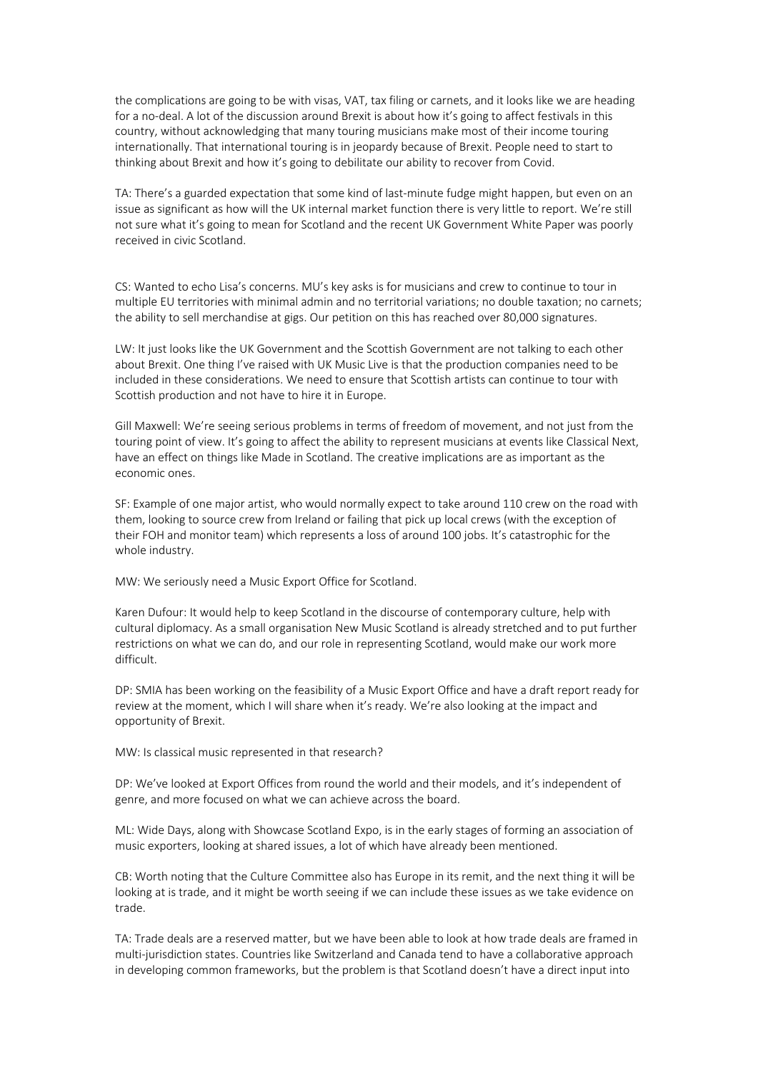the complications are going to be with visas, VAT, tax filing or carnets, and it looks like we are heading for a no-deal. A lot of the discussion around Brexit is about how it's going to affect festivals in this country, without acknowledging that many touring musicians make most of their income touring internationally. That international touring is in jeopardy because of Brexit. People need to start to thinking about Brexit and how it's going to debilitate our ability to recover from Covid.

TA: There's a guarded expectation that some kind of last-minute fudge might happen, but even on an issue as significant as how will the UK internal market function there is very little to report. We're still not sure what it's going to mean for Scotland and the recent UK Government White Paper was poorly received in civic Scotland.

CS: Wanted to echo Lisa's concerns. MU's key asks is for musicians and crew to continue to tour in multiple EU territories with minimal admin and no territorial variations; no double taxation; no carnets; the ability to sell merchandise at gigs. Our petition on this has reached over 80,000 signatures.

LW: It just looks like the UK Government and the Scottish Government are not talking to each other about Brexit. One thing I've raised with UK Music Live is that the production companies need to be included in these considerations. We need to ensure that Scottish artists can continue to tour with Scottish production and not have to hire it in Europe.

Gill Maxwell: We're seeing serious problems in terms of freedom of movement, and not just from the touring point of view. It's going to affect the ability to represent musicians at events like Classical Next, have an effect on things like Made in Scotland. The creative implications are as important as the economic ones.

SF: Example of one major artist, who would normally expect to take around 110 crew on the road with them, looking to source crew from Ireland or failing that pick up local crews (with the exception of their FOH and monitor team) which represents a loss of around 100 jobs. It's catastrophic for the whole industry.

MW: We seriously need a Music Export Office for Scotland.

Karen Dufour: It would help to keep Scotland in the discourse of contemporary culture, help with cultural diplomacy. As a small organisation New Music Scotland is already stretched and to put further restrictions on what we can do, and our role in representing Scotland, would make our work more difficult.

DP: SMIA has been working on the feasibility of a Music Export Office and have a draft report ready for review at the moment, which I will share when it's ready. We're also looking at the impact and opportunity of Brexit.

MW: Is classical music represented in that research?

DP: We've looked at Export Offices from round the world and their models, and it's independent of genre, and more focused on what we can achieve across the board.

ML: Wide Days, along with Showcase Scotland Expo, is in the early stages of forming an association of music exporters, looking at shared issues, a lot of which have already been mentioned.

CB: Worth noting that the Culture Committee also has Europe in its remit, and the next thing it will be looking at is trade, and it might be worth seeing if we can include these issues as we take evidence on trade.

TA: Trade deals are a reserved matter, but we have been able to look at how trade deals are framed in multi-jurisdiction states. Countries like Switzerland and Canada tend to have a collaborative approach in developing common frameworks, but the problem is that Scotland doesn't have a direct input into